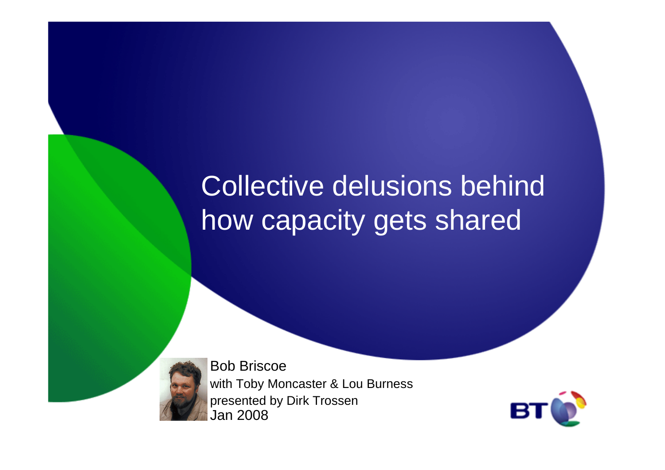# Collective delusions behind how capacity gets shared



Bob Briscoe with Toby Moncaster & Lou Burnesspresented by Dirk TrossenJan 2008

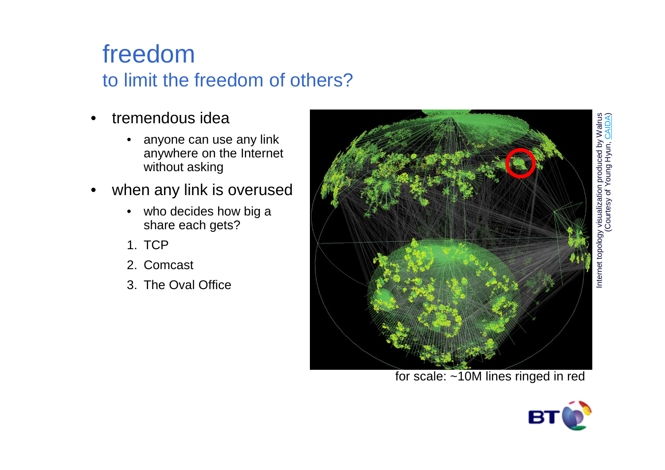# Internet topology visualization produced by Walrus (Courtesy of Young Hyun, CAIDA) visualization produced by Walrus<br>Courtesy of Young Hyun, CAIDA) Internet topology

#### freedomto limit the freedom of others?

- • tremendous idea
	- • anyone can use any link anywhere on the Internet without asking
- • when any link is overused
	- who decides how big a share each gets?
	- 1. TCP
	- 2. Comcast
	- 3. The Oval Office



for scale: ~10M lines ringed in red

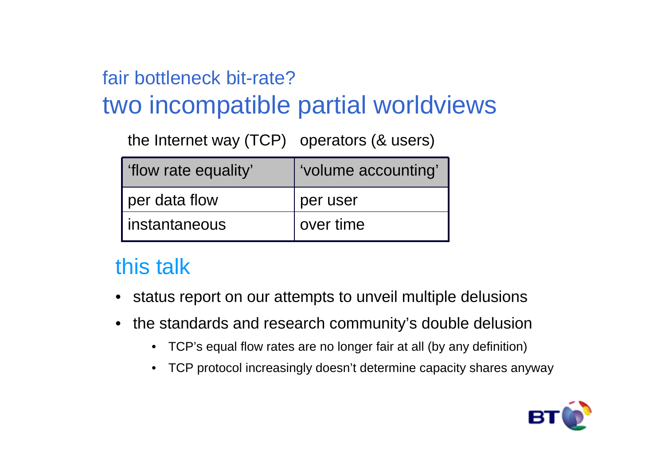#### fair bottleneck bit-rate?

### two incompatible partial worldviews

the Internet way (TCP) operators (& users)

| 'flow rate equality' | 'volume accounting' |
|----------------------|---------------------|
| per data flow        | per user            |
| instantaneous        | over time           |

#### this talk

- •status report on our attempts to unveil multiple delusions
- • the standards and research community's double delusion
	- $\bullet$ TCP's equal flow rates are no longer fair at all (by any definition)
	- TCP protocol increasingly doesn't determine capacity shares anyway

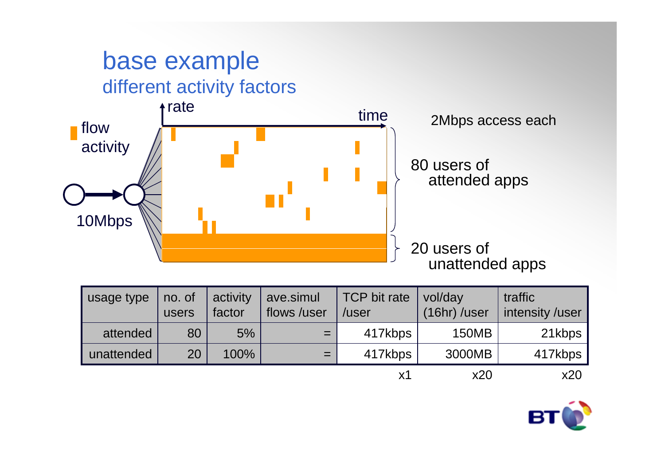

| usage type | no. of<br>users | activity<br>factor | ave.simul<br>flows /user | TCP bit rate<br>/user | vol/day<br>$(16hr)$ /user | traffic<br>intensity /user |
|------------|-----------------|--------------------|--------------------------|-----------------------|---------------------------|----------------------------|
| attended   | 80              | 5%                 | $=$                      | 417kbps               | <b>150MB</b>              | 21kbps                     |
| unattended | 20              | 100%               | $=$                      | 417kbps               | 3000MB                    | 417kbps                    |
|            |                 |                    |                          | х1                    | x20                       | x20                        |

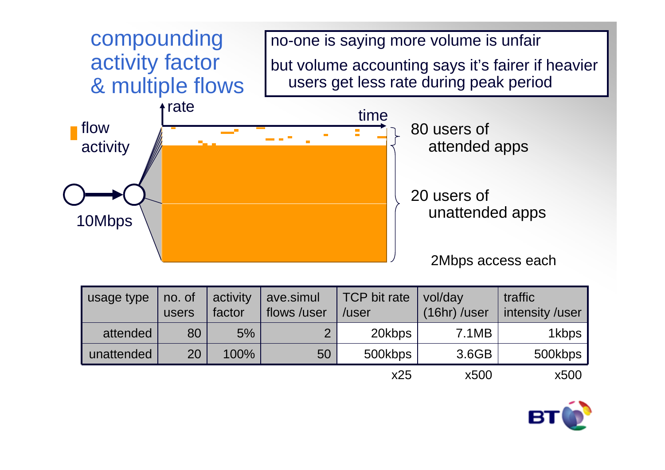

| usage type | no. of<br>users | activity<br>factor | ave.simul<br>flows /user | <b>TCP</b> bit rate<br>/user | vol/day<br>(16hr) /user | traffic<br>intensity /user |
|------------|-----------------|--------------------|--------------------------|------------------------------|-------------------------|----------------------------|
| attended   | 80              | 5%                 | $\overline{2}$           | 20kbps                       | 7.1MB                   | 1kbps                      |
| unattended | 20              | 100%               | 50                       | 500kbps                      | 3.6GB                   | 500kbps                    |
|            |                 |                    |                          | x25                          | x500                    | x500                       |

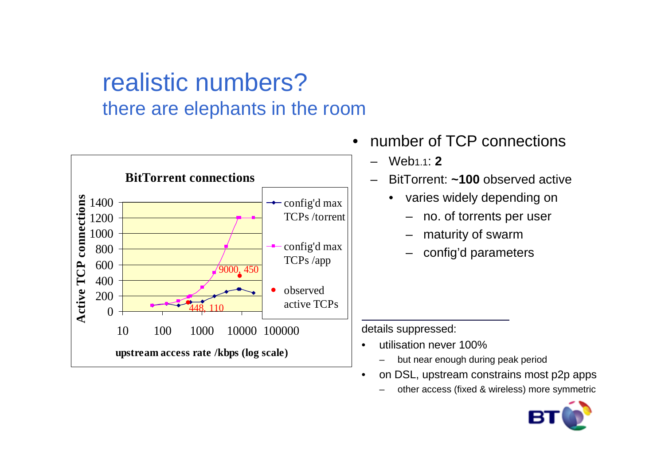#### realistic numbers?there are elephants in the room



- • number of TCP connections
	- Web1.1: **2**
	- BitTorrent: **~100** observed active
		- • varies widely depending on
			- no. of torrents per user
			- maturity of swarm
			- config'd parameters

details suppressed:

- • utilisation never 100%
	- but near enough during peak period–
- on DSL, upstream constrains most p2p apps •
	- –other access (fixed & wireless) more symmetric

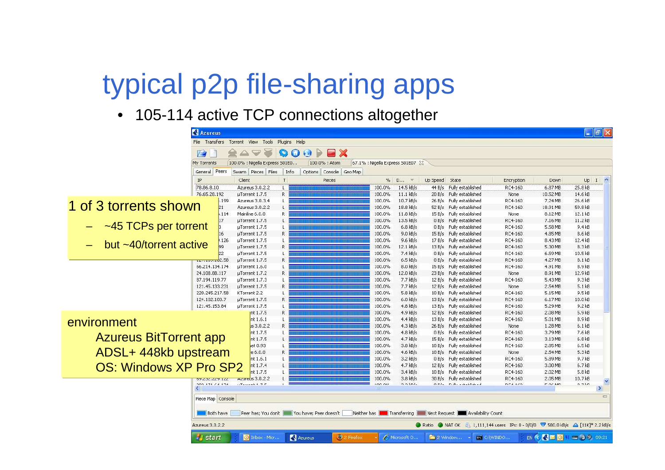## typical p2p file-sharing apps

• 105-114 active TCP connections altogether

|                               | $\Box$ $\Box$ $\times$<br><b>Azureus</b>                                                                                                               |                                                  |          |                               |                  |                          |                              |                                               |                              |                     |                    |
|-------------------------------|--------------------------------------------------------------------------------------------------------------------------------------------------------|--------------------------------------------------|----------|-------------------------------|------------------|--------------------------|------------------------------|-----------------------------------------------|------------------------------|---------------------|--------------------|
|                               | Plugins Help<br>File Transfers<br>Torrent View Tools                                                                                                   |                                                  |          |                               |                  |                          |                              |                                               |                              |                     |                    |
|                               | a,<br>X<br>P<br><b>SEP</b><br>0<br>64                                                                                                                  |                                                  |          |                               |                  |                          |                              |                                               |                              |                     |                    |
|                               | 67.1% : Nigella Express S01E07 23<br>My Torrents<br>100.0% : Nigella Express 501E0<br>100.0% : Atom                                                    |                                                  |          |                               |                  |                          |                              |                                               |                              |                     |                    |
|                               | General                                                                                                                                                | Peers<br>Swarm Pieces Files                      | Info     | Options Console Geo Map       |                  |                          |                              |                                               |                              |                     |                    |
|                               | IP                                                                                                                                                     | Client                                           | T        | Pieces                        |                  | $%$ D<br>$\mathcal{R}$   | Up Speed                     | State                                         | Encryption                   | Down                | $Up$ $I$ $\sim$    |
|                               | 78.86.8.10                                                                                                                                             | Azureus 3.0.2.2                                  | L.       |                               | 100.0%           | 14.5 kB/s                |                              | 44 B/s Fully established                      | RC4-160                      | 6.87 MB             | 25.8 kB            |
|                               | 76.65.28.192                                                                                                                                           | µTorrent 1.7.5                                   | R.       |                               | 100.0%           | $11.1$ $kB/s$            | 20B/s                        | Fully established                             | None                         | 10.52 MB            | 14.6 kB            |
| 1 of 3 torrents shown         |                                                                                                                                                        | .199<br>Azureus 3.0.3.4<br>21<br>Azureus 3.0.2.2 | L.<br>L. |                               | 100.0%<br>100.0% | 10.7 kB/s<br>18.8 kB/s   | 52B/s                        | 26 B/s Fully established<br>Fully established | RC4-160<br>RC4-160           | 7.24 MB<br>18.91 MB | 26.6 kB<br>59.8 kB |
|                               |                                                                                                                                                        | .114<br>Mainline 6.0.0                           | Ŕ        |                               | 100.0%           | $11.8$ kB/s              | 15B/s                        | Fully established                             | None                         | 8.12 MB             | 12.1 kB            |
|                               |                                                                                                                                                        | 17<br>µTorrent 1.7.5                             | L        |                               | 100.0%           | 13.5 kB/s                | 0 B/s                        | Fully established                             | RC4-160                      | 7.16 MB             | 11.2 kB            |
| ~45 TCPs per torrent          |                                                                                                                                                        | µTorrent 1.7.5                                   | L        |                               | 100.0%           | $6.8$ kB/s               |                              | 0 B/s Fully established                       | RC4-160                      | 5.58 MB             | 9.4 kB             |
|                               |                                                                                                                                                        | µTorrent 1.7.5<br>16                             | R        |                               | 100.0%           | $9.0$ kB/s               | 15B/s                        | Fully established                             | RC4-160                      | 4.85 MB             | 8.6 kB             |
| but ~40/torrent active        |                                                                                                                                                        | .126<br>uTorrent 1.7.5                           |          |                               | 100.0%           | $9.6$ $kB/s$             | 17B/s                        | Fully established                             | RC4-160                      | 8.43 MB             | 12.4 kB            |
|                               |                                                                                                                                                        | 99<br>µTorrent 1.7.5                             | R        |                               | 100.0%           | 12.1 kB/s                | 13B/s                        | Fully established                             | RC4-160                      | 5.30 MB             | 8.3 kB             |
|                               |                                                                                                                                                        | µTorrent 1.7.5                                   | L        |                               | 100.0%           | 7.4 kB/s                 | 0 B/s                        | Fully established                             | RC4-160                      | 6.59 MB             | 10.5 kB            |
|                               | . <del>.</del> 2.58<br>66.214.134.174                                                                                                                  | µTorrent 1.7.5<br>µTorrent 1.6.0                 | R<br>L   |                               | 100.0%<br>100.0% | $6.5$ kB/s<br>$8.0$ kB/s | 0B/s<br>15B/s                | Fully established<br>Fully established        | RC4-160<br>RC4-160           | 4.27 MB<br>4.91 MB  | 8.1 kB<br>8.9 kB   |
|                               | 24.108.88.117                                                                                                                                          | µTorrent 1.7.2                                   | R        |                               | 100.0%           | 12.0 kB/s                | 23B/s                        | Fully established                             | None                         | 8.91 MB             | 12.9 kB            |
|                               | 87.194.119.77                                                                                                                                          | µTorrent 1.7.3                                   | L        |                               | 100.0%           | 7.7 kB/s                 | 12B/s                        | Fully established                             | RC4-160                      | 5.43 MB             | 9.3 kB             |
|                               | 121.45.133.231                                                                                                                                         | µTorrent 1.7.5                                   | R        |                               | 100.0%           | 7.7 kB/s                 |                              | 12 B/s Fully established                      | None                         | 2.54 MB             | 5.1 kB             |
|                               | 220.245.217.58                                                                                                                                         | KTorrent 2.2                                     | L        |                               | 100.0%           | 5.8 kB/s                 | 10B/s                        | Fully established                             | RC4-160                      | 5.15 MB             | 9.5 kB             |
|                               | 124.102.103.7                                                                                                                                          | uTorrent 1.7.5                                   | R        |                               | 100.0%           | $6.0$ $kB/s$             | 13B/s                        | Fully established                             | RC4-160                      | 6.17 MB             | 10.0 kB            |
|                               | 121.45.153.84                                                                                                                                          | µTorrent 1.7.5                                   |          |                               | 100.0%           | $4.8$ kB/s               | 13B/s                        | Fully established                             | RC4-160                      | 5.29 MB             | 9.2 kB             |
|                               |                                                                                                                                                        | nt 1.7.5                                         | R        |                               | 100.0%           | $4.9$ kB/s               | 12B/s                        | Fully established                             | RC4-160                      | 2.08 MB             | 5.9kB              |
| environment                   |                                                                                                                                                        | nt 1.6.1                                         |          |                               | 100.0%           | $4.4$ kB/s               | 13B/s                        | Fully established                             | RC4-160                      | 5.01 MB             | 8.9 kB             |
|                               |                                                                                                                                                        | Js 3.0.2.2                                       | R        |                               | 100.0%           | $4.3$ kB/s               | 26B/s                        | Fully established                             | None                         | 1.28 MB             | 6.1 kB             |
| <b>Azureus BitTorrent app</b> |                                                                                                                                                        | nt 1.7.5<br>nt 1.7.5                             | Ł        |                               | 100.0%<br>100.0% | $4.8$ kB/s<br>$4.7$ kB/s | 15B/s                        | 0 B/s Fully established<br>Fully established  | RC4-160<br>RC4-160           | 3.79 MB<br>3.13 MB  | 7.6 kB<br>6.8 kB   |
|                               |                                                                                                                                                        | let 0.93                                         | L        |                               | 100.0%           | $3.8$ kB/s               | 10B/s                        | Fully established                             | RC4-160                      | 2.85 MB             | 6.5kB              |
| ADSL+ 448kb upstream          |                                                                                                                                                        | e 6.0.0                                          | R        |                               | 100.0%           | $4.6$ kB/s               | 10B/s                        | Fully established                             | None                         | 2.54 MB             | 5.3 kB             |
|                               |                                                                                                                                                        | nt 1.6.1                                         | L        |                               | 100.0%           | $3.2$ kB/s               | 0 B/s                        | Fully established                             | RC4-160                      | 5.89 MB             | 9.7 kB             |
| <b>OS: Windows XP Pro SP2</b> |                                                                                                                                                        | nt 1.7.4                                         | Ł        |                               | 100.0%           | $4.7$ kB/s               | 12B/s                        | Fully established                             | RC4-160                      | 3.00 MB             | 6.7 kB             |
|                               |                                                                                                                                                        | nt 1.7.5                                         | L        |                               | 100.0%           | $3.4$ kB/s               | 10B/s                        | Fully established                             | RC4-160                      | 2.02 MB             | 5.8 kB             |
|                               | <b>REPORT AND CARD AT AN ART STREET AND</b>                                                                                                            | $r_{\text{c}$ and $s$ 3.0.2.2                    | Ł        |                               | 100.0%           | $3.8$ kB/s               | 30 B/s                       | Fully established                             | RC4-160                      | 2.05 MB             | 10.7 kB            |
|                               | 202.1717474174<br>×                                                                                                                                    | $T = 5$                                          |          |                               | 100.00           | $n - 1 - 1$              | $n - 1$                      | The discovered with the line of               | $n \times A$ is $n \times n$ | F OC MD             | 0.71n              |
|                               |                                                                                                                                                        |                                                  |          |                               |                  |                          |                              |                                               |                              |                     | $\equiv$           |
|                               | Piece Map Console                                                                                                                                      |                                                  |          |                               |                  |                          |                              |                                               |                              |                     |                    |
|                               | Peer has; You don't Vou have; Peer doesn't<br>Neither has <b>K. A.</b> Transferring <b>Ready Next Request   Availability Count</b><br><b>Both have</b> |                                                  |          |                               |                  |                          |                              |                                               |                              |                     |                    |
|                               | Azureus 3.0.2.2<br>Ratio MATOK : 1,111,144 users IPs: 0 - 0/0/0 7 580.0 kB/s 4 [11K]* 2.2 kB/s                                                         |                                                  |          |                               |                  |                          |                              |                                               |                              |                     |                    |
|                               | <b>Start</b>                                                                                                                                           | D Inbox - Micr                                   |          | <b>Azureus</b><br>3 2 Firefox |                  | A Microsoft O.,          | $\overline{m}$ $\geq$ Window |                                               | ex C:\WINDO                  | EN & <b>4 E O</b>   | $= 32.09:21$       |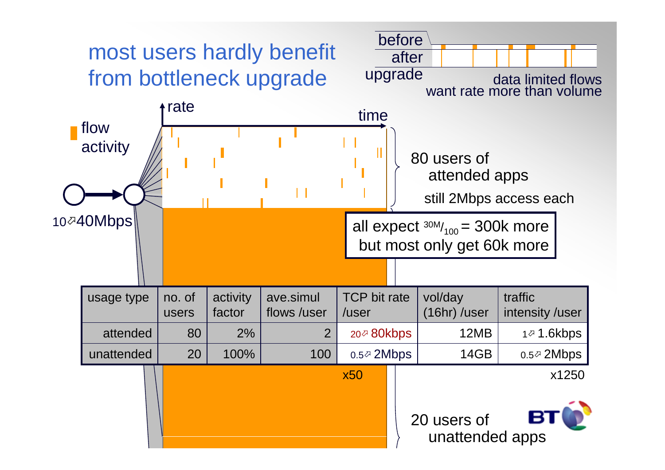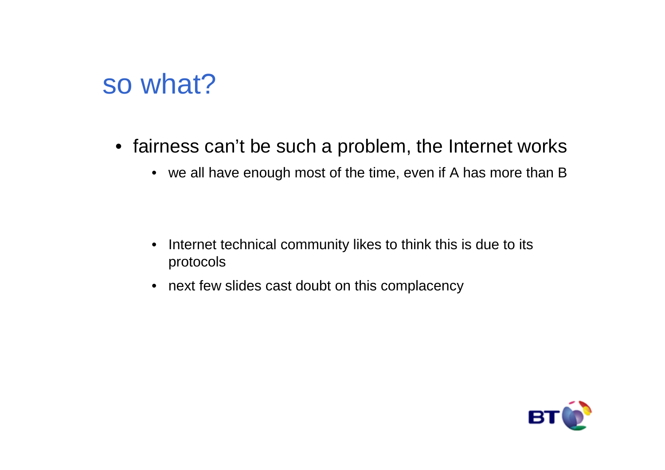## so what?

- fairness can't be such a problem, the Internet works
	- we all have enough most of the time, even if A has more than B

- $\bullet$  Internet technical community likes to think this is due to its protocols
- next few slides cast doubt on this complacency

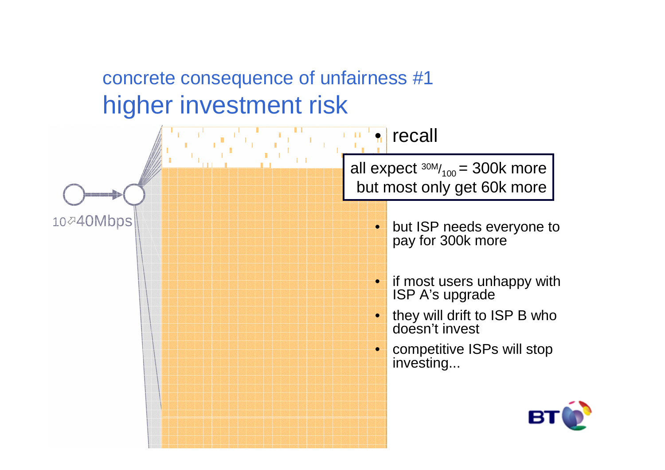#### concrete consequence of unfairness #1higher investment risk

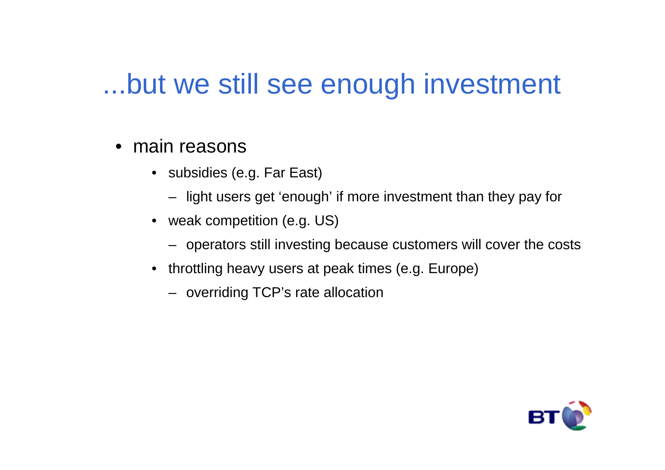## ...but we still see enough investment

- main reasons
	- subsidies (e.g. Far East)
		- light users get 'enough' if more investment than they pay for
	- weak competition (e.g. US)
		- operators still investing because customers will cover the costs
	- throttling heavy users at peak times (e.g. Europe)
		- overriding TCP's rate allocation

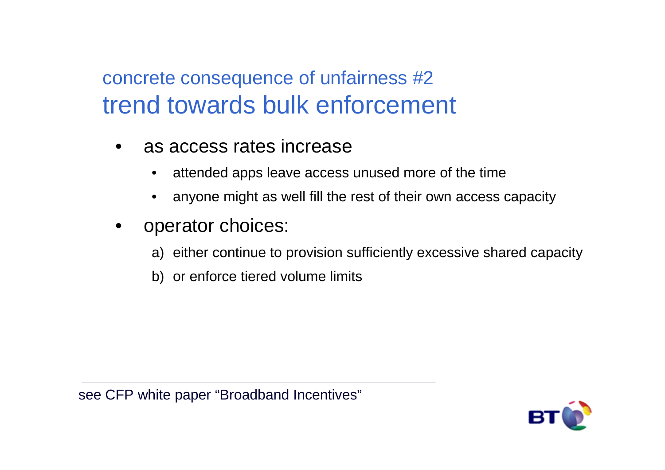#### concrete consequence of unfairness #2trend towards bulk enforcement

- • as access rates increase
	- •attended apps leave access unused more of the time
	- •anyone might as well fill the rest of their own access capacity
- • operator choices:
	- a) either continue to provision sufficiently excessive shared capacity
	- b) or enforce tiered volume limits

see CFP white paper "Broadband Incentives"

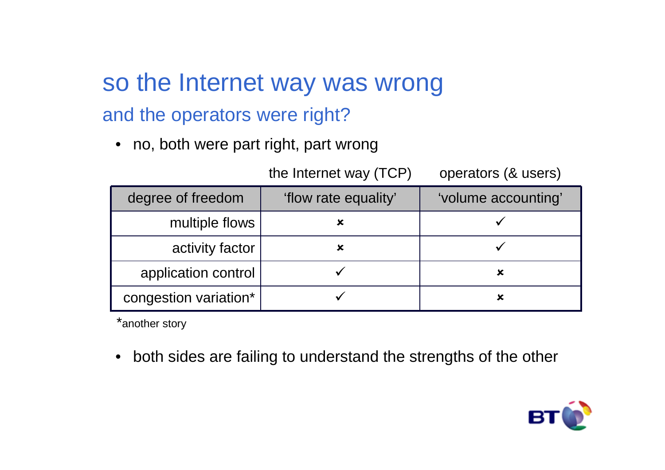## so the Internet way was wrongand the operators were right?

• no, both were part right, part wrong

| degree of freedom     | 'flow rate equality' | 'volume accounting' |
|-----------------------|----------------------|---------------------|
| multiple flows        |                      |                     |
| activity factor       | x                    |                     |
| application control   |                      |                     |
| congestion variation* |                      |                     |

the Internet way (TCP) operators (& users)

\*another story

• both sides are failing to understand the strengths of the other

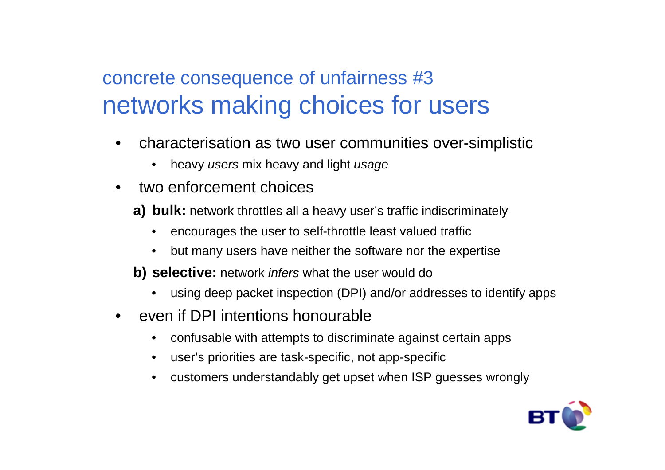#### concrete consequence of unfairness #3networks making choices for users

- • characterisation as two user communities over-simplistic
	- •heavy users mix heavy and light usage
- • two enforcement choices
	- **a) bulk:** network throttles all a heavy user's traffic indiscriminately
		- •encourages the user to self-throttle least valued traffic
		- •but many users have neither the software nor the expertise
	- **b) selective:** network infers what the user would do
		- •using deep packet inspection (DPI) and/or addresses to identify apps
- • even if DPI intentions honourable
	- •confusable with attempts to discriminate against certain apps
	- •user's priorities are task-specific, not app-specific
	- •customers understandably get upset when ISP guesses wrongly

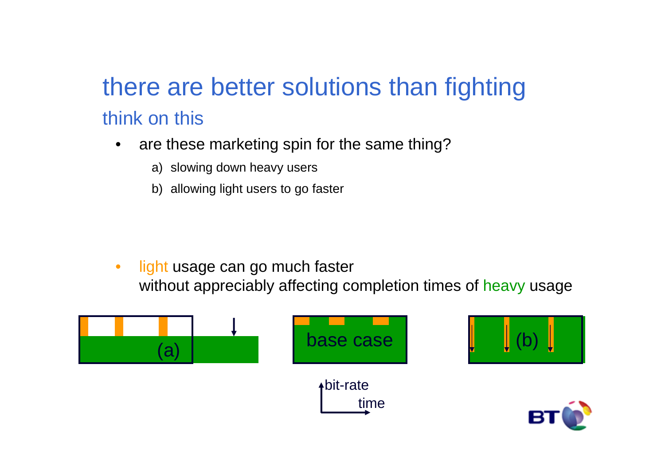## there are better solutions than fightingthink on this

- $\bullet$  are these marketing spin for the same thing?
	- a) slowing down heavy users
	- b) allowing light users to go faster

 $\bullet$  light usage can go much faster without appreciably affecting completion times of <mark>heavy</mark> usage

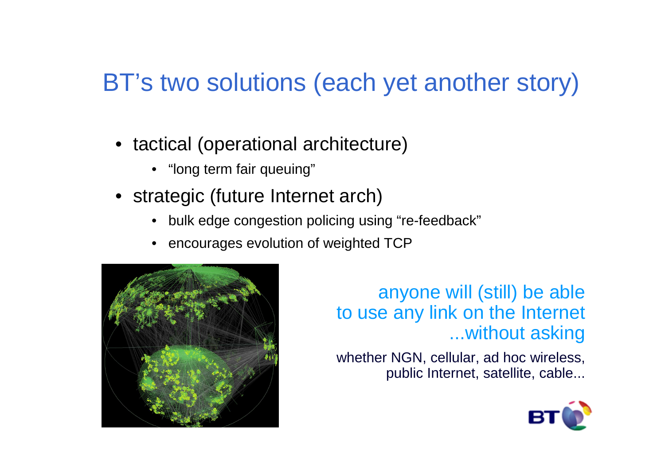## BT's two solutions (each yet another story)

- tactical (operational architecture)
	- "long term fair queuing"
- strategic (future Internet arch)
	- •bulk edge congestion policing using "re-feedback"
	- encourages evolution of weighted TCP



anyone will (still) be able to use any link on the Internet ...without asking

whether NGN, cellular, ad hoc wireless, public Internet, satellite, cable...

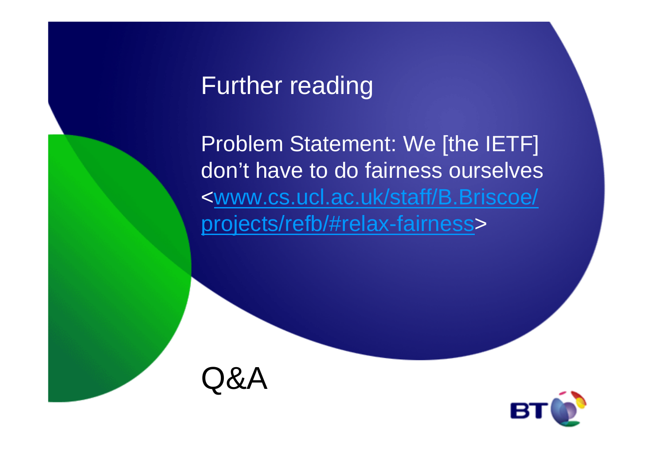#### Further reading

Problem Statement: We [the IETF] don't have to do fairness ourselves <www.cs.ucl.ac.uk/staff/B.Briscoe/projects/refb/#relax-fairness>